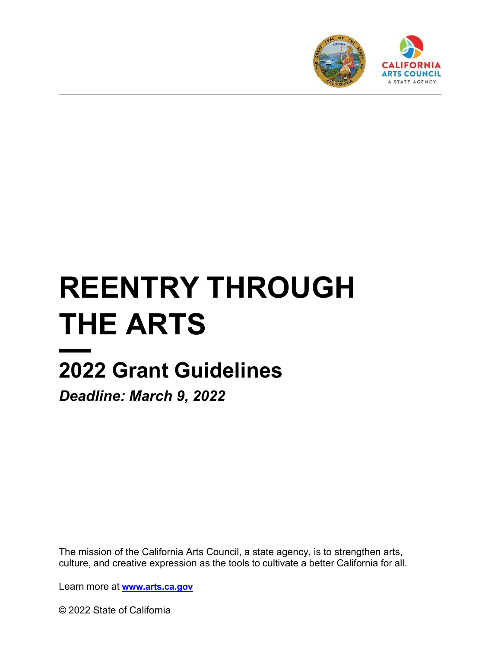

# **REENTRY THROUGH THE ARTS**

# **2022 Grant Guidelines**

*Deadline: March 9, 2022*

The mission of the California Arts Council, a state agency, is to strengthen arts, culture, and creative expression as the tools to cultivate a better California for all.

Learn more at **[www.arts.ca.gov](http://www.arts.ca.gov/)**

© 2022 State of California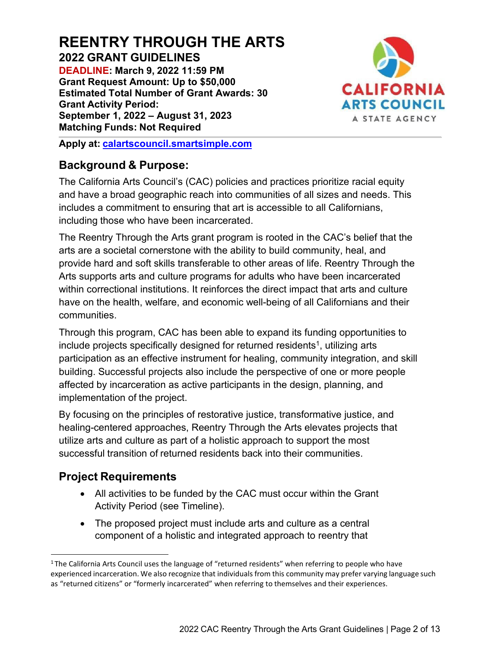# **REENTRY THROUGH THE ARTS 2022 GRANT GUIDELINES**

**DEADLINE: March 9, 2022 11:59 PM Grant Request Amount: Up to \$50,000 Estimated Total Number of Grant Awards: 30 Grant Activity Period: September 1, 2022 – August 31, 2023 Matching Funds: Not Required**



**Apply at: [calartscouncil.smartsimple.com](https://calartscouncil.smartsimple.com/)**

#### **Background & Purpose:**

The California Arts Council's (CAC) policies and practices prioritize racial equity and have a broad geographic reach into communities of all sizes and needs. This includes a commitment to ensuring that art is accessible to all Californians, including those who have been incarcerated.

The Reentry Through the Arts grant program is rooted in the CAC's belief that the arts are a societal cornerstone with the ability to build community, heal, and provide hard and soft skills transferable to other areas of life. Reentry Through the Arts supports arts and culture programs for adults who have been incarcerated within correctional institutions. It reinforces the direct impact that arts and culture have on the health, welfare, and economic well-being of all Californians and their communities.

Through this program, CAC has been able to expand its funding opportunities to include projects specifically designed for returned residents<sup>1</sup>, utilizing arts participation as an effective instrument for healing, community integration, and skill building. Successful projects also include the perspective of one or more people affected by incarceration as active participants in the design, planning, and implementation of the project.

By focusing on the principles of restorative justice, transformative justice, and healing-centered approaches, Reentry Through the Arts elevates projects that utilize arts and culture as part of a holistic approach to support the most successful transition of returned residents back into their communities.

# **Project Requirements**

- All activities to be funded by the CAC must occur within the Grant Activity Period (see Timeline).
- The proposed project must include arts and culture as a central component of a holistic and integrated approach to reentry that

<sup>&</sup>lt;sup>1</sup> The California Arts Council uses the language of "returned residents" when referring to people who have experienced incarceration. We also recognize that individuals from this community may prefer varying language such as "returned citizens" or "formerly incarcerated" when referring to themselves and their experiences.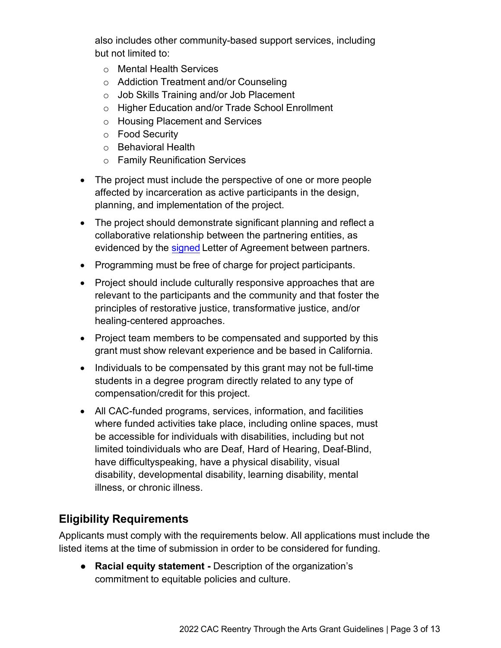also includes other community-based support services, including but not limited to:

- o Mental Health Services
- o Addiction Treatment and/or Counseling
- o Job Skills Training and/or Job Placement
- o Higher Education and/or Trade School Enrollment
- o Housing Placement and Services
- o Food Security
- o Behavioral Health
- o Family Reunification Services
- The project must include the perspective of one or more people affected by incarceration as active participants in the design, planning, and implementation of the project.
- The project should demonstrate significant planning and reflect a collaborative relationship between the partnering entities, as evidenced by the [signed](https://arts.ca.gov/definitionofasignature/) Letter of Agreement between partners.
- Programming must be free of charge for project participants.
- Project should include culturally responsive approaches that are relevant to the participants and the community and that foster the principles of restorative justice, transformative justice, and/or healing-centered approaches.
- Project team members to be compensated and supported by this grant must show relevant experience and be based in California.
- Individuals to be compensated by this grant may not be full-time students in a degree program directly related to any type of compensation/credit for this project.
- All CAC-funded programs, services, information, and facilities where funded activities take place, including online spaces, must be accessible for individuals with disabilities, including but not limited toindividuals who are Deaf, Hard of Hearing, Deaf-Blind, have difficultyspeaking, have a physical disability, visual disability, developmental disability, learning disability, mental illness, or chronic illness.

# **Eligibility Requirements**

Applicants must comply with the requirements below. All applications must include the listed items at the time of submission in order to be considered for funding.

● **Racial equity statement -** Description of the organization's commitment to equitable policies and culture.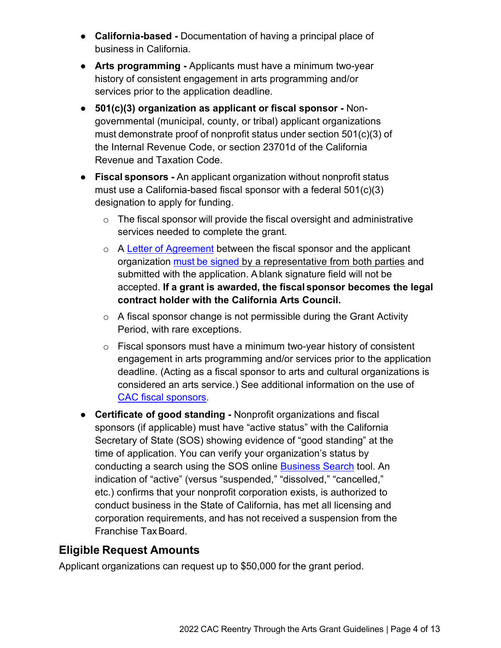- **California-based** Documentation of having a principal place of business in California.
- **Arts programming** Applicants must have a minimum two-year history of consistent engagement in arts programming and/or services prior to the application deadline.
- **501(c)(3) organization as applicant or fiscal sponsor** Nongovernmental (municipal, county, or tribal) applicant organizations must demonstrate proof of nonprofit status under section 501(c)(3) of the Internal Revenue Code, or section 23701d of the California Revenue and Taxation Code.
- **Fiscal sponsors** An applicant organization without nonprofit status must use a California-based fiscal sponsor with a federal 501(c)(3) designation to apply for funding.
	- $\circ$  The fiscal sponsor will provide the fiscal oversight and administrative services needed to complete the grant.
	- o A [Letter of Agreement](https://arts.ca.gov/fiscalsponsorletter/) between the fiscal sponsor and the applicant organization must [be signed](https://arts.ca.gov/definitionofasignature/) by a representative from both parties and submitted with the application. A blank signature field will not be accepted. **If a grant is awarded, the fiscal sponsor becomes the legal contract holder with the California Arts Council.**
	- $\circ$  A fiscal sponsor change is not permissible during the Grant Activity Period, with rare exceptions.
	- o Fiscal sponsors must have a minimum two-year history of consistent engagement in arts programming and/or services prior to the application deadline. (Acting as a fiscal sponsor to arts and cultural organizations is considered an arts service.) See additional information on the use of [CAC fiscal sponsors.](https://arts.ca.gov/fiscalsponsorpolicy/)
- **Certificate of good standing** Nonprofit organizations and fiscal sponsors (if applicable) must have "active status" with the California Secretary of State (SOS) showing evidence of "good standing" at the time of application. You can verify your organization's status by conducting a search using the SOS online [Business Search](https://businesssearch.sos.ca.gov/) tool. An indication of "active" (versus "suspended," "dissolved," "cancelled," etc.) confirms that your nonprofit corporation exists, is authorized to conduct business in the State of California, has met all licensing and corporation requirements, and has not received a suspension from the Franchise TaxBoard.

# **Eligible Request Amounts**

Applicant organizations can request up to \$50,000 for the grant period.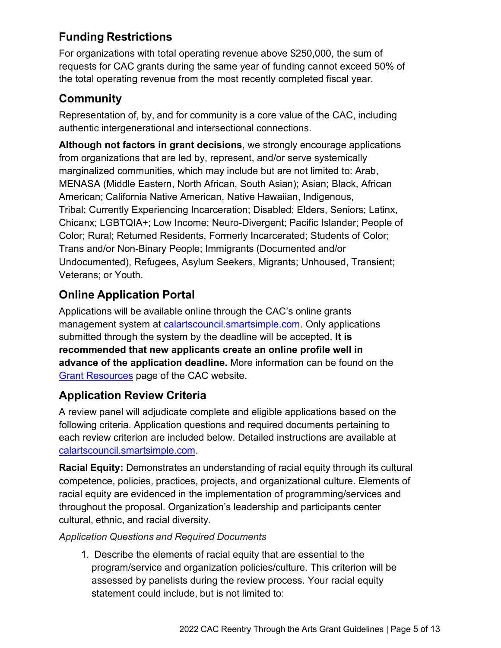# **Funding Restrictions**

For organizations with total operating revenue above \$250,000, the sum of requests for CAC grants during the same year of funding cannot exceed 50% of the total operating revenue from the most recently completed fiscal year.

#### **Community**

Representation of, by, and for community is a core value of the CAC, including authentic intergenerational and intersectional connections.

**Although not factors in grant decisions**, we strongly encourage applications from organizations that are led by, represent, and/or serve systemically marginalized communities, which may include but are not limited to: Arab, MENASA (Middle Eastern, North African, South Asian); Asian; Black, African American; California Native American, Native Hawaiian, Indigenous, Tribal; Currently Experiencing Incarceration; Disabled; Elders, Seniors; Latinx, Chicanx; LGBTQIA+; Low Income; Neuro-Divergent; Pacific Islander; People of Color; Rural; Returned Residents, Formerly Incarcerated; Students of Color; Trans and/or Non-Binary People; Immigrants (Documented and/or Undocumented), Refugees, Asylum Seekers, Migrants; Unhoused, Transient; Veterans; or Youth.

# **Online Application Portal**

Applications will be available online through the CAC's online grants management system at [calartscouncil.smartsimple.com.](https://calartscouncil.smartsimple.com/s_Login.jsp) Only applications submitted through the system by the deadline will be accepted. **It is recommended that new applicants create an online profile well in advance of the application deadline.** More information can be found on the [Grant Resources](https://arts.ca.gov/grants/resources/) page of the CAC website.

# **Application Review Criteria**

A review panel will adjudicate complete and eligible applications based on the following criteria. Application questions and required documents pertaining to each review criterion are included below. Detailed instructions are available at [calartscouncil.smartsimple.com.](https://calartscouncil.smartsimple.com/s_Login.jsp)

**Racial Equity:** Demonstrates an understanding of racial equity through its cultural competence, policies, practices, projects, and organizational culture. Elements of racial equity are evidenced in the implementation of programming/services and throughout the proposal. Organization's leadership and participants center cultural, ethnic, and racial diversity.

#### *Application Questions and Required Documents*

1. Describe the elements of racial equity that are essential to the program/service and organization policies/culture. This criterion will be assessed by panelists during the review process. Your racial equity statement could include, but is not limited to: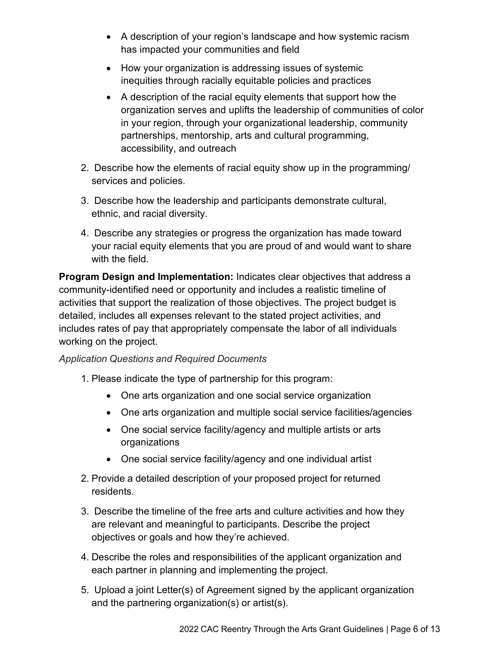- A description of your region's landscape and how systemic racism has impacted your communities and field
- How your organization is addressing issues of systemic inequities through racially equitable policies and practices
- A description of the racial equity elements that support how the organization serves and uplifts the leadership of communities of color in your region, through your organizational leadership, community partnerships, mentorship, arts and cultural programming, accessibility, and outreach
- 2. Describe how the elements of racial equity show up in the programming/ services and policies.
- 3. Describe how the leadership and participants demonstrate cultural, ethnic, and racial diversity.
- 4. Describe any strategies or progress the organization has made toward your racial equity elements that you are proud of and would want to share with the field.

**Program Design and Implementation:** Indicates clear objectives that address a community-identified need or opportunity and includes a realistic timeline of activities that support the realization of those objectives. The project budget is detailed, includes all expenses relevant to the stated project activities, and includes rates of pay that appropriately compensate the labor of all individuals working on the project.

#### *Application Questions and Required Documents*

- 1. Please indicate the type of partnership for this program:
	- One arts organization and one social service organization
	- One arts organization and multiple social service facilities/agencies
	- One social service facility/agency and multiple artists or arts organizations
	- One social service facility/agency and one individual artist
- 2. Provide a detailed description of your proposed project for returned residents.
- 3. Describe the timeline of the free arts and culture activities and how they are relevant and meaningful to participants. Describe the project objectives or goals and how they're achieved.
- 4. Describe the roles and responsibilities of the applicant organization and each partner in planning and implementing the project.
- 5. Upload a joint Letter(s) of Agreement signed by the applicant organization and the partnering organization(s) or artist(s).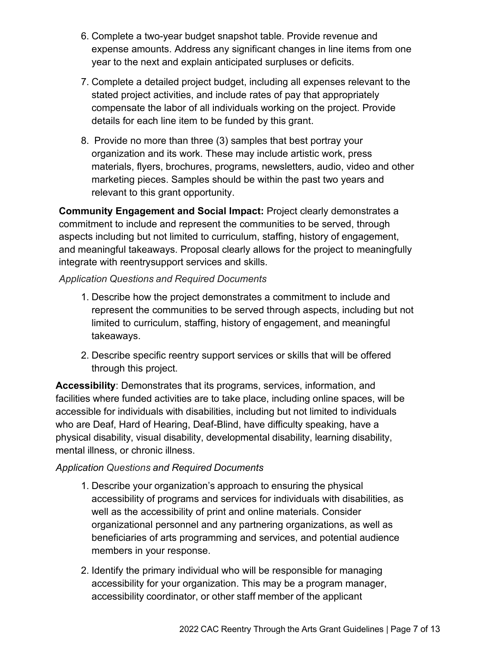- 6. Complete a two-year budget snapshot table. Provide revenue and expense amounts. Address any significant changes in line items from one year to the next and explain anticipated surpluses or deficits.
- 7. Complete a detailed project budget, including all expenses relevant to the stated project activities, and include rates of pay that appropriately compensate the labor of all individuals working on the project. Provide details for each line item to be funded by this grant.
- 8. Provide no more than three (3) samples that best portray your organization and its work. These may include artistic work, press materials, flyers, brochures, programs, newsletters, audio, video and other marketing pieces. Samples should be within the past two years and relevant to this grant opportunity.

**Community Engagement and Social Impact:** Project clearly demonstrates a commitment to include and represent the communities to be served, through aspects including but not limited to curriculum, staffing, history of engagement, and meaningful takeaways. Proposal clearly allows for the project to meaningfully integrate with reentrysupport services and skills.

*Application Questions and Required Documents*

- 1. Describe how the project demonstrates a commitment to include and represent the communities to be served through aspects, including but not limited to curriculum, staffing, history of engagement, and meaningful takeaways.
- 2. Describe specific reentry support services or skills that will be offered through this project.

**Accessibility**: Demonstrates that its programs, services, information, and facilities where funded activities are to take place, including online spaces, will be accessible for individuals with disabilities, including but not limited to individuals who are Deaf, Hard of Hearing, Deaf-Blind, have difficulty speaking, have a physical disability, visual disability, developmental disability, learning disability, mental illness, or chronic illness.

#### *Application Questions and Required Documents*

- 1. Describe your organization's approach to ensuring the physical accessibility of programs and services for individuals with disabilities, as well as the accessibility of print and online materials. Consider organizational personnel and any partnering organizations, as well as beneficiaries of arts programming and services, and potential audience members in your response.
- 2. Identify the primary individual who will be responsible for managing accessibility for your organization. This may be a program manager, accessibility coordinator, or other staff member of the applicant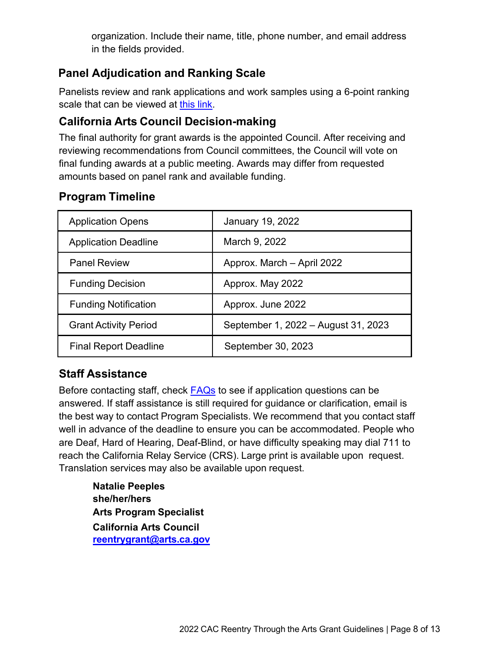organization. Include their name, title, phone number, and email address in the fields provided.

# **Panel Adjudication and Ranking Scale**

Panelists review and rank applications and work samples using a 6-point ranking scale that can be viewed at this [link.](https://arts.ca.gov/rankingguide/)

# **California Arts Council Decision-making**

The final authority for grant awards is the appointed Council. After receiving and reviewing recommendations from Council committees, the Council will vote on final funding awards at a public meeting. Awards may differ from requested amounts based on panel rank and available funding.

# **Program Timeline**

| <b>Application Opens</b>     | <b>January 19, 2022</b>             |
|------------------------------|-------------------------------------|
| <b>Application Deadline</b>  | March 9, 2022                       |
| <b>Panel Review</b>          | Approx. March - April 2022          |
| <b>Funding Decision</b>      | Approx. May 2022                    |
| <b>Funding Notification</b>  | Approx. June 2022                   |
| <b>Grant Activity Period</b> | September 1, 2022 - August 31, 2023 |
| <b>Final Report Deadline</b> | September 30, 2023                  |

# **Staff Assistance**

Before contacting staff, check [FAQs](https://arts.ca.gov/grants/faq/) to see if application questions can be answered. If staff assistance is still required for guidance or clarification, email is the best way to contact Program Specialists. We recommend that you contact staff well in advance of the deadline to ensure you can be accommodated. People who are Deaf, Hard of Hearing, Deaf-Blind, or have difficulty speaking may dial 711 to reach the California Relay Service (CRS). Large print is available upon request. Translation services may also be available upon request.

**Natalie Peeples she/her/hers Arts Program Specialist California Arts Council [reentrygrant@arts.ca.gov](mailto:reentrygrant@arts.ca.gov)**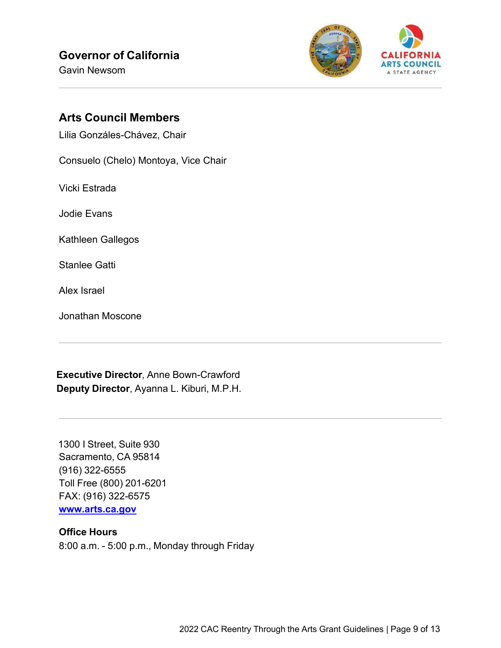Gavin Newsom



#### **Arts Council Members**

Lilia Gonzáles-Chávez, Chair

Consuelo (Chelo) Montoya, Vice Chair

Vicki Estrada

Jodie Evans

Kathleen Gallegos

Stanlee Gatti

Alex Israel

Jonathan Moscone

**Executive Director***,* Anne Bown-Crawford **Deputy Director**, Ayanna L. Kiburi, M.P.H.

1300 I Street, Suite 930 Sacramento, CA 95814 (916) 322-6555 Toll Free (800) 201-6201 FAX: (916) 322-6575 **[www.arts.ca.gov](http://www.arts.ca.gov/)**

#### **Office Hours**

8:00 a.m. - 5:00 p.m., Monday through Friday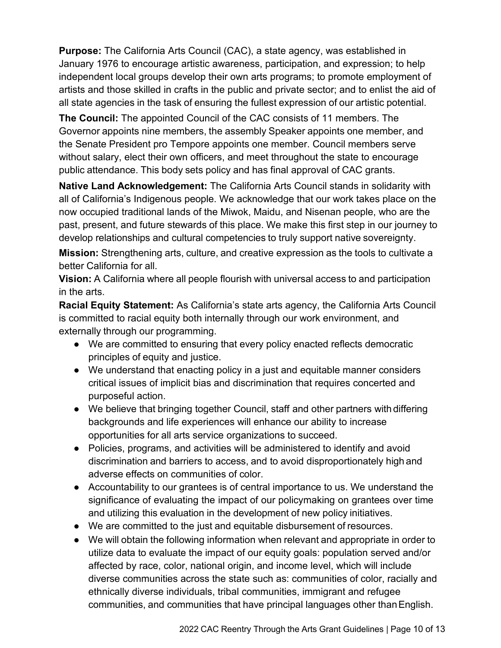**Purpose:** The California Arts Council (CAC), a state agency, was established in January 1976 to encourage artistic awareness, participation, and expression; to help independent local groups develop their own arts programs; to promote employment of artists and those skilled in crafts in the public and private sector; and to enlist the aid of all state agencies in the task of ensuring the fullest expression of our artistic potential.

**The Council:** The appointed Council of the CAC consists of 11 members. The Governor appoints nine members, the assembly Speaker appoints one member, and the Senate President pro Tempore appoints one member. Council members serve without salary, elect their own officers, and meet throughout the state to encourage public attendance. This body sets policy and has final approval of CAC grants.

**Native Land Acknowledgement:** The California Arts Council stands in solidarity with all of California's Indigenous people. We acknowledge that our work takes place on the now occupied traditional lands of the Miwok, Maidu, and Nisenan people, who are the past, present, and future stewards of this place. We make this first step in our journey to develop relationships and cultural competencies to truly support native sovereignty.

**Mission:** Strengthening arts, culture, and creative expression as the tools to cultivate a better California for all.

**Vision:** A California where all people flourish with universal access to and participation in the arts.

**Racial Equity Statement:** As California's state arts agency, the California Arts Council is committed to racial equity both internally through our work environment, and externally through our programming.

- We are committed to ensuring that every policy enacted reflects democratic principles of equity and justice.
- We understand that enacting policy in a just and equitable manner considers critical issues of implicit bias and discrimination that requires concerted and purposeful action.
- We believe that bringing together Council, staff and other partners with differing backgrounds and life experiences will enhance our ability to increase opportunities for all arts service organizations to succeed.
- Policies, programs, and activities will be administered to identify and avoid discrimination and barriers to access, and to avoid disproportionately high and adverse effects on communities of color.
- Accountability to our grantees is of central importance to us. We understand the significance of evaluating the impact of our policymaking on grantees over time and utilizing this evaluation in the development of new policy initiatives.
- We are committed to the just and equitable disbursement of resources.
- We will obtain the following information when relevant and appropriate in order to utilize data to evaluate the impact of our equity goals: population served and/or affected by race, color, national origin, and income level, which will include diverse communities across the state such as: communities of color, racially and ethnically diverse individuals, tribal communities, immigrant and refugee communities, and communities that have principal languages other thanEnglish.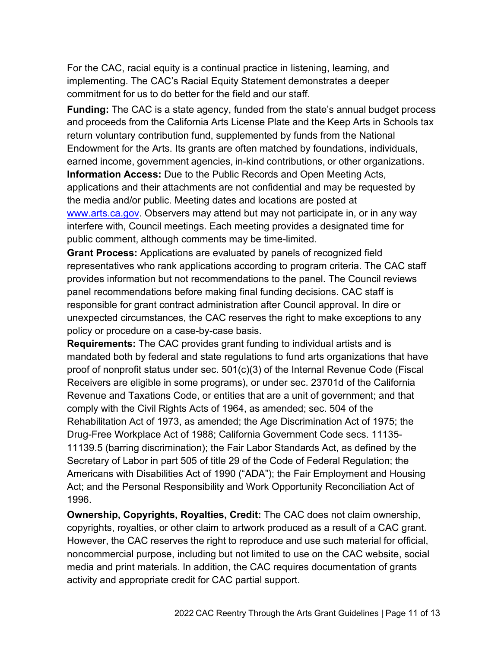For the CAC, racial equity is a continual practice in listening, learning, and implementing. The CAC's Racial Equity Statement demonstrates a deeper commitment for us to do better for the field and our staff.

**Funding:** The CAC is a state agency, funded from the state's annual budget process and proceeds from the California Arts License Plate and the Keep Arts in Schools tax return voluntary contribution fund, supplemented by funds from the National Endowment for the Arts. Its grants are often matched by foundations, individuals, earned income, government agencies, in-kind contributions, or other organizations. **Information Access:** Due to the Public Records and Open Meeting Acts, applications and their attachments are not confidential and may be requested by the media and/or public. Meeting dates and locations are posted at [www.arts.ca.gov.](http://www.arts.ca.gov/) Observers may attend but may not participate in, or in any way interfere with, Council meetings. Each meeting provides a designated time for public comment, although comments may be time-limited.

**Grant Process:** Applications are evaluated by panels of recognized field representatives who rank applications according to program criteria. The CAC staff provides information but not recommendations to the panel. The Council reviews panel recommendations before making final funding decisions. CAC staff is responsible for grant contract administration after Council approval. In dire or unexpected circumstances, the CAC reserves the right to make exceptions to any policy or procedure on a case-by-case basis.

**Requirements:** The CAC provides grant funding to individual artists and is mandated both by federal and state regulations to fund arts organizations that have proof of nonprofit status under sec. 501(c)(3) of the Internal Revenue Code (Fiscal Receivers are eligible in some programs), or under sec. 23701d of the California Revenue and Taxations Code, or entities that are a unit of government; and that comply with the Civil Rights Acts of 1964, as amended; sec. 504 of the Rehabilitation Act of 1973, as amended; the Age Discrimination Act of 1975; the Drug-Free Workplace Act of 1988; California Government Code secs. 11135- 11139.5 (barring discrimination); the Fair Labor Standards Act, as defined by the Secretary of Labor in part 505 of title 29 of the Code of Federal Regulation; the Americans with Disabilities Act of 1990 ("ADA"); the Fair Employment and Housing Act; and the Personal Responsibility and Work Opportunity Reconciliation Act of 1996.

**Ownership, Copyrights, Royalties, Credit:** The CAC does not claim ownership, copyrights, royalties, or other claim to artwork produced as a result of a CAC grant. However, the CAC reserves the right to reproduce and use such material for official, noncommercial purpose, including but not limited to use on the CAC website, social media and print materials. In addition, the CAC requires documentation of grants activity and appropriate credit for CAC partial support.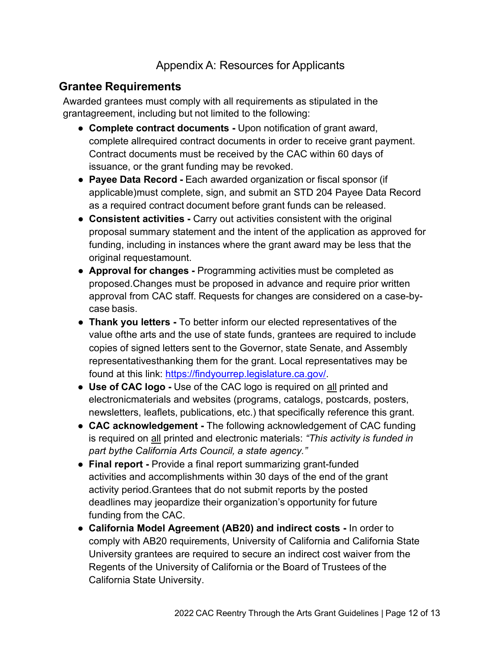#### Appendix A: Resources for Applicants

#### **Grantee Requirements**

Awarded grantees must comply with all requirements as stipulated in the grantagreement, including but not limited to the following:

- **Complete contract documents -** Upon notification of grant award, complete allrequired contract documents in order to receive grant payment. Contract documents must be received by the CAC within 60 days of issuance, or the grant funding may be revoked.
- **Payee Data Record -** Each awarded organization or fiscal sponsor (if applicable)must complete, sign, and submit an STD 204 Payee Data Record as a required contract document before grant funds can be released.
- **Consistent activities -** Carry out activities consistent with the original proposal summary statement and the intent of the application as approved for funding, including in instances where the grant award may be less that the original requestamount.
- **Approval for changes -** Programming activities must be completed as proposed.Changes must be proposed in advance and require prior written approval from CAC staff. Requests for changes are considered on a case-bycase basis.
- **Thank you letters -** To better inform our elected representatives of the value ofthe arts and the use of state funds, grantees are required to include copies of signed letters sent to the Governor, state Senate, and Assembly representativesthanking them for the grant. Local representatives may be found at this link: [https://findyourrep.legislature.ca.gov/.](https://findyourrep.legislature.ca.gov/)
- **Use of CAC logo -** Use of the CAC logo is required on all printed and electronicmaterials and websites (programs, catalogs, postcards, posters, newsletters, leaflets, publications, etc.) that specifically reference this grant.
- **CAC acknowledgement -** The following acknowledgement of CAC funding is required on all printed and electronic materials: *"This activity is funded in part bythe California Arts Council, a state agency."*
- **Final report -** Provide a final report summarizing grant-funded activities and accomplishments within 30 days of the end of the grant activity period.Grantees that do not submit reports by the posted deadlines may jeopardize their organization's opportunity for future funding from the CAC.
- **California Model Agreement (AB20) and indirect costs -** In order to comply with AB20 requirements, University of California and California State University grantees are required to secure an indirect cost waiver from the Regents of the University of California or the Board of Trustees of the California State University.